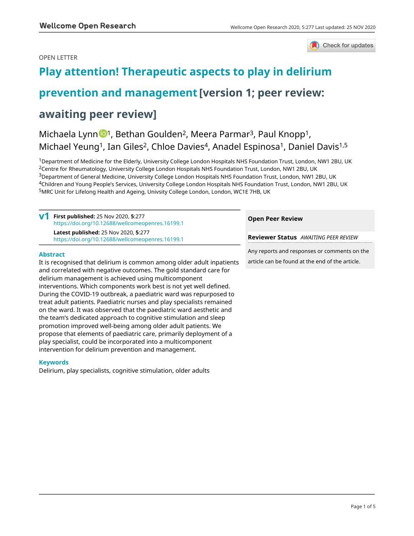# OPEN LETTER

**Keywords**



# **[Play attention! Therapeutic aspects to play in delirium](https://wellcomeopenresearch.org/articles/5-277/v1)**

# **[prevention and management](https://wellcomeopenresearch.org/articles/5-277/v1) [version 1; peer review:**

# **awaiting peer review]**

treat adult patients. Paediatric nurses and play specialists remained on the ward. It was observed that the paediatric ward aesthetic and the team's dedicated approach to cognitive stimulation and sleep promotion improved well-being among older adult patients. We propose that elements of paediatric care, primarily deployment of a play specialist, could be incorporated into a multicomponent intervention for delirium prevention and management.

Delirium, play specialists, cognitive stimulation, older adults

# Michaela Lynn <sup>[1](https://orcid.org/0000-0002-6603-8832),</sup> Bethan Goulden<sup>2</sup>, Meera Parmar<sup>3</sup>, Paul Knopp<sup>1</sup>, Michael Yeung<sup>1</sup>, Ian Giles<sup>2</sup>, Chloe Davies<sup>4</sup>, Anadel Espinosa<sup>1</sup>, Daniel Davis<sup>1,5</sup>

Department of Medicine for the Elderly, University College London Hospitals NHS Foundation Trust, London, NW1 2BU, UK <sup>2</sup>Centre for Rheumatology, University College London Hospitals NHS Foundation Trust, London, NW1 2BU, UK Department of General Medicine, University College London Hospitals NHS Foundation Trust, London, NW1 2BU, UK Children and Young People's Services, University College London Hospitals NHS Foundation Trust, London, NW1 2BU, UK MRC Unit for Lifelong Health and Ageing, Univsity College London, London, WC1E 7HB, UK

|                                                                                                                                                                                                                       | First published: 25 Nov 2020, 5:277<br>https://doi.org/10.12688/wellcomeopenres.16199.1  | <b>Open Peer Review</b>                                                                         |
|-----------------------------------------------------------------------------------------------------------------------------------------------------------------------------------------------------------------------|------------------------------------------------------------------------------------------|-------------------------------------------------------------------------------------------------|
|                                                                                                                                                                                                                       | Latest published: 25 Nov 2020, 5:277<br>https://doi.org/10.12688/wellcomeopenres.16199.1 | <b>Reviewer Status</b> AWAITING PEER REVIEW                                                     |
| <b>Abstract</b><br>It is recognised that delirium is common among older adult inpatients<br>and correlated with negative outcomes. The gold standard care for<br>delirium management is achieved using multicomponent |                                                                                          | Any reports and responses or comments on the<br>article can be found at the end of the article. |
|                                                                                                                                                                                                                       |                                                                                          |                                                                                                 |
| interventions. Which components work best is not yet well defined.<br>During the COVID-19 outbreak, a paediatric ward was repurposed to                                                                               |                                                                                          |                                                                                                 |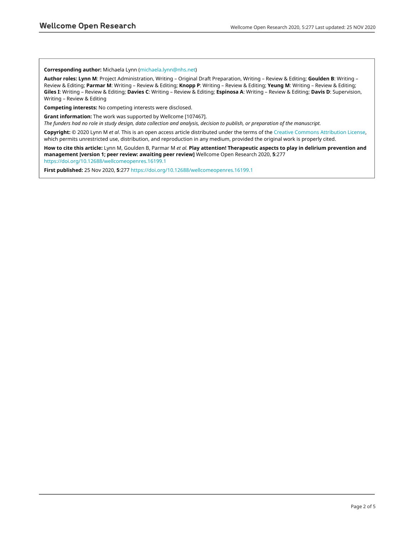### **Corresponding author:** Michaela Lynn [\(michaela.lynn@nhs.net](mailto:michaela.lynn@nhs.net))

**Author roles: Lynn M**: Project Administration, Writing – Original Draft Preparation, Writing – Review & Editing; **Goulden B**: Writing – Review & Editing; **Parmar M**: Writing – Review & Editing; **Knopp P**: Writing – Review & Editing; **Yeung M**: Writing – Review & Editing; **Giles I**: Writing – Review & Editing; **Davies C**: Writing – Review & Editing; **Espinosa A**: Writing – Review & Editing; **Davis D**: Supervision, Writing – Review & Editing

**Competing interests:** No competing interests were disclosed.

**Grant information:** The work was supported by Wellcome [107467].

*The funders had no role in study design, data collection and analysis, decision to publish, or preparation of the manuscript.*

**Copyright:** © 2020 Lynn M *et al*. This is an open access article distributed under the terms of the [Creative Commons Attribution License](http://creativecommons.org/licenses/by/4.0/), which permits unrestricted use, distribution, and reproduction in any medium, provided the original work is properly cited.

**How to cite this article:** Lynn M, Goulden B, Parmar M *et al.* **Play attention! Therapeutic aspects to play in delirium prevention and management [version 1; peer review: awaiting peer review]** Wellcome Open Research 2020, **5**:277 <https://doi.org/10.12688/wellcomeopenres.16199.1>

**First published:** 25 Nov 2020, **5**:277 <https://doi.org/10.12688/wellcomeopenres.16199.1>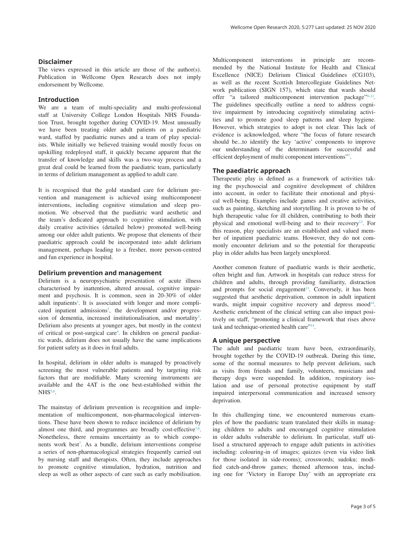# **Disclaimer**

The views expressed in this article are those of the author(s). Publication in Wellcome Open Research does not imply endorsement by Wellcome.

## **Introduction**

We are a team of multi-speciality and multi-professional staff at University College London Hospitals NHS Foundation Trust, brought together during COVID-19. Most unusually we have been treating older adult patients on a paediatric ward, staffed by paediatric nurses and a team of play specialists. While initially we believed training would mostly focus on upskilling redeployed staff, it quickly became apparent that the transfer of knowledge and skills was a two-way process and a great deal could be learned from the paediatric team, particularly in terms of delirium management as applied to adult care.

It is recognised that the gold standard care for delirium prevention and management is achieved using multicomponent interventions, including cognitive stimulation and sleep promotion. We observed that the paediatric ward aesthetic and the team's dedicated approach to cognitive stimulation, with daily creative activities (detailed below) promoted well-being among our older adult patients. We propose that elements of their paediatric approach could be incorporated into adult delirium management, perhaps leading to a fresher, more person-centred and fun experience in hospital.

## **Delirium prevention and management**

Delirium is a neuropsychiatric presentation of acute illness characterised by inattention, altered arousal, cognitive impairment and psychosis. It is common, seen in 20-30% of older adult inpatients<sup>[1](#page-3-0)</sup>. It is associated with longer and more complicated inpatient admissions<sup>2</sup>, the development and/or progres-sion of dementia, increased institutionalisation, and mortality<sup>[3](#page-3-0)</sup>. Delirium also presents at younger ages, but mostly in the context of critical or post-surgical care[4](#page-3-0) . In children on general paediatric wards, delirium does not usually have the same implications for patient safety as it does in frail adults.

In hospital, delirium in older adults is managed by proactively screening the most vulnerable patients and by targeting risk factors that are modifiable. Many screening instruments are available and the 4AT is the one best-established within the  $NHS<sup>5,6</sup>$  $NHS<sup>5,6</sup>$  $NHS<sup>5,6</sup>$ .

The mainstay of delirium prevention is recognition and implementation of multicomponent, non-pharmacological interventions. These have been shown to reduce incidence of delirium by almost one third, and programmes are broadly cost-effective<sup>[7,8](#page-3-0)</sup>. Nonetheless, there remains uncertainty as to which components work best<sup>7</sup>. As a bundle, delirium interventions comprise a series of non-pharmacological strategies frequently carried out by nursing staff and therapists. Often, they include approaches to promote cognitive stimulation, hydration, nutrition and sleep as well as other aspects of care such as early mobilisation. Multicomponent interventions in principle are recommended by the National Institute for Health and Clinical Excellence (NICE) Delirium Clinical Guidelines (CG103), as well as the recent Scottish Intercollegiate Guidelines Network publication (SIGN 157), which state that wards should offer "a tailored multicomponent intervention package"<sup>9-11</sup>. The guidelines specifically outline a need to address cognitive impairment by introducing cognitively stimulating activities and to promote good sleep patterns and sleep hygiene. However, which strategies to adopt is not clear. This lack of evidence is acknowledged, where "the focus of future research should be...to identify the key 'active' components to improve our understanding of the determinants for successful and efficient deployment of multi component interventions["7](#page-3-0).

# **The paediatric approach**

Therapeutic play is defined as a framework of activities taking the psychosocial and cognitive development of children into account, in order to facilitate their emotional and physical well-being. Examples include games and creative activities, such as painting, sketching and storytelling. It is proven to be of high therapeutic value for ill children, contributing to both their physical and emotional well-being and to their recovery<sup>12</sup>. For this reason, play specialists are an established and valued member of inpatient paediatric teams. However, they do not commonly encounter delirium and so the potential for therapeutic play in older adults has been largely unexplored.

Another common feature of paediatric wards is their aesthetic, often bright and fun. Artwork in hospitals can reduce stress for children and adults, through providing familiarity, distraction and prompts for social engagement<sup>13</sup>. Conversely, it has been suggested that aesthetic deprivation, common in adult inpatient wards, might impair cognitive recovery and depress mood<sup>14</sup>. Aesthetic enrichment of the clinical setting can also impact positively on staff, "promoting a clinical framework that rises above task and technique-oriented health care"[14.](#page-4-0)

# **A unique perspective**

The adult and paediatric team have been, extraordinarily, brought together by the COVID-19 outbreak. During this time, some of the normal measures to help prevent delirium, such as visits from friends and family, volunteers, musicians and therapy dogs were suspended. In addition, respiratory isolation and use of personal protective equipment by staff impaired interpersonal communication and increased sensory deprivation.

In this challenging time, we encountered numerous examples of how the paediatric team translated their skills in managing children to adults and encouraged cognitive stimulation in older adults vulnerable to delirium. In particular, staff utilised a structured approach to engage adult patients in activities including: colouring-in of images; quizzes (even via video link for those isolated in side-rooms); crosswords; sudoku; modified catch-and-throw games; themed afternoon teas, including one for 'Victory in Europe Day' with an appropriate era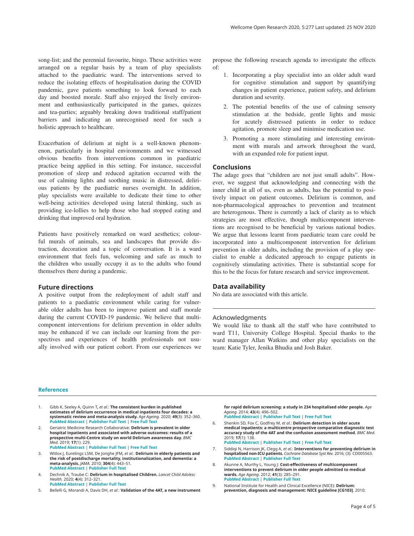<span id="page-3-0"></span>song-list; and the perennial favourite, bingo. These activities were arranged on a regular basis by a team of play specialists attached to the paediatric ward. The interventions served to reduce the isolating effects of hospitalisation during the COVID pandemic, gave patients something to look forward to each day and boosted morale. Staff also enjoyed the lively environment and enthusiastically participated in the games, quizzes and tea-parties; arguably breaking down traditional staff/patient barriers and indicating an unrecognised need for such a holistic approach to healthcare.

Exacerbation of delirium at night is a well-known phenomenon, particularly in hospital environments and we witnessed obvious benefits from interventions common in paediatric practice being applied in this setting. For instance, successful promotion of sleep and reduced agitation occurred with the use of calming lights and soothing music in distressed, delirious patients by the paediatric nurses overnight. In addition, play specialists were available to dedicate their time to other well-being activities developed using lateral thinking, such as providing ice-lollies to help those who had stopped eating and drinking that improved oral hydration.

Patients have positively remarked on ward aesthetics; colourful murals of animals, sea and landscapes that provide distraction, decoration and a topic of conversation. It is a ward environment that feels fun, welcoming and safe as much to the children who usually occupy it as to the adults who found themselves there during a pandemic.

#### **Future directions**

A positive output from the redeployment of adult staff and patients to a paediatric environment while caring for vulnerable older adults has been to improve patient and staff morale during the current COVID-19 pandemic. We believe that multicomponent interventions for delirium prevention in older adults may be enhanced if we can include our learning from the perspectives and experiences of health professionals not usually involved with our patient cohort. From our experiences we

propose the following research agenda to investigate the effects of:

- 1. Incorporating a play specialist into an older adult ward for cognitive stimulation and support by quantifying changes in patient experience, patient safety, and delirium duration and severity.
- 2. The potential benefits of the use of calming sensory stimulation at the bedside, gentle lights and music for acutely distressed patients in order to reduce agitation, promote sleep and minimise medication use.
- 3. Promoting a more stimulating and interesting environment with murals and artwork throughout the ward, with an expanded role for patient input.

### **Conclusions**

The adage goes that "children are not just small adults". However, we suggest that acknowledging and connecting with the inner child in all of us, even as adults, has the potential to positively impact on patient outcomes. Delirium is common, and non-pharmacological approaches to prevention and treatment are heterogenous. There is currently a lack of clarity as to which strategies are most effective, though multicomponent interventions are recognised to be beneficial by various national bodies. We argue that lessons learnt from paediatric team care could be incorporated into a multicomponent intervention for delirium prevention in older adults, including the provision of a play specialist to enable a dedicated approach to engage patients in cognitively stimulating activities. There is substantial scope for this to be the focus for future research and service improvement.

### **Data availability**

No data are associated with this article.

#### Acknowledgments

We would like to thank all the staff who have contributed to ward T11, University College Hospital. Special thanks to the ward manager Allan Watkins and other play specialists on the team: Katie Tyler, Jenika Bhudia and Josh Baker.

#### **References**

- Gibb K, Seeley A, Quinn T, et al.: **The consistent burden in published estimates of delirium occurrence in medical inpatients four decades: a systematic review and meta-analysis study.** *Age Ageing.* 2020; **49**(3): 352–360. **[PubMed Abstract](http://www.ncbi.nlm.nih.gov/pubmed/32239173)** | **[Publisher Full Text](http://dx.doi.org/10.1093/ageing/afaa040)** | **[Free Full Text](http://www.ncbi.nlm.nih.gov/pmc/articles/7187871)**
- 2. Geriatric Medicine Research Collaborative: **Delirium is prevalent in older hospital inpatients and associated with adverse outcomes: results of a prospective multi-Centre study on world Delirium awareness day.** *BMC Med.* 2019; **17**(1): 229.

**[PubMed Abstract](http://www.ncbi.nlm.nih.gov/pubmed/31837711)** | **[Publisher Full Text](http://dx.doi.org/10.1186/s12916-019-1458-7)** | **[Free Full Text](http://www.ncbi.nlm.nih.gov/pmc/articles/6911703)**

- 3. Witlox J, Eurelings LSM, De Jonghe JFM,*et al.*: **Delirium in elderly patients and the risk of postdischarge mortality, institutionalization, and dementia: a meta-analysis.** *JAMA.* 2010; **304**(4): 443–51. **[PubMed Abstract](http://www.ncbi.nlm.nih.gov/pubmed/20664045)** | **[Publisher Full Text](http://dx.doi.org/10.1001/jama.2010.1013)**
- 4. Dechnik A, Traube C: **Delirium in hospitalised Children.** *Lancet Child Adolesc Health.* 2020; **4**(4): 312–321. **[PubMed Abstract](http://www.ncbi.nlm.nih.gov/pubmed/32087768)** | **[Publisher Full Text](http://dx.doi.org/10.1016/S2352-4642(19)30377-3)**
- 5. Bellelli G, Morandi A, Davis DH, *et al.*: **Validation of the 4AT, a new instrument**

**for rapid delirium screening: a study in 234 hospitalised older people.** *Age Ageing.* 2014; **43**(4): 496–502. **[PubMed Abstract](http://www.ncbi.nlm.nih.gov/pubmed/24590568)** | **[Publisher Full Text](http://dx.doi.org/10.1093/ageing/afu021)** | **[Free Full Text](http://www.ncbi.nlm.nih.gov/pmc/articles/4066613)**

- 6. Shenkin SD, Fox C, Godfrey M, *et al.*: **Delirium detection in older acute medical inpatients: a multicentre prospective comparative diagnostic test accuracy study of the 4AT and the confusion assessment method.** *BMC Med.* 2019; **17**(1): 138. **[PubMed Abstract](http://www.ncbi.nlm.nih.gov/pubmed/31337404)** | **[Publisher Full Text](http://dx.doi.org/10.1186/s12916-019-1367-9)** | **[Free Full Text](http://www.ncbi.nlm.nih.gov/pmc/articles/6651960)**
- 7. Siddiqi N, Harrison JK, Clegg A, *et al.*: **Interventions for preventing delirium in hospitalised non-ICU patients.** *Cochrane Database Syst Rev.* 2016; (3): CD005563. **[PubMed Abstract](http://www.ncbi.nlm.nih.gov/pubmed/26967259)** | **[Publisher Full Text](http://dx.doi.org/10.1002/14651858.CD005563.pub3)**
- 8. Akunne A, Murthy L, Young J: Cost-effectiveness of multicomponent **interventions to prevent delirium in older people admitted to medical wards.** *Age Ageing.* 2012; **41**(3): 285–291. **[PubMed Abstract](http://www.ncbi.nlm.nih.gov/pubmed/22282171)** | **[Publisher Full Text](http://dx.doi.org/10.1093/ageing/afr147)**
- 9. National Institute for Health and Clinical Excellence (NICE): **Delirium: prevention, diagnosis and management: NICE guideline [CG103]**. 2010;